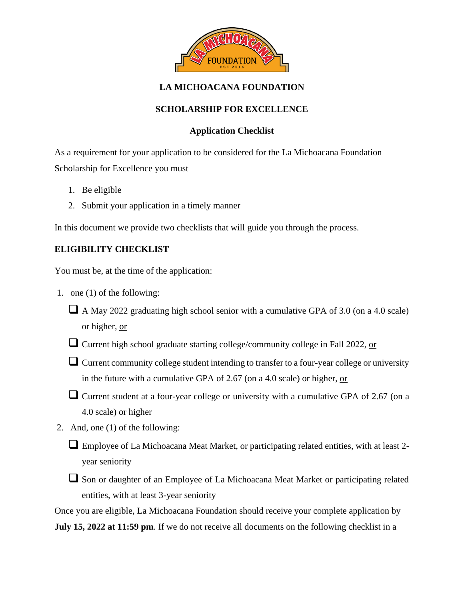

# **LA MICHOACANA FOUNDATION**

## **SCHOLARSHIP FOR EXCELLENCE**

### **Application Checklist**

As a requirement for your application to be considered for the La Michoacana Foundation Scholarship for Excellence you must

- 1. Be eligible
- 2. Submit your application in a timely manner

In this document we provide two checklists that will guide you through the process.

## **ELIGIBILITY CHECKLIST**

You must be, at the time of the application:

- 1. one (1) of the following:
	- A May 2022 graduating high school senior with a cumulative GPA of 3.0 (on a 4.0 scale) or higher, or
	- □ Current high school graduate starting college/community college in Fall 2022, or
	- Current community college student intending to transfer to a four-year college or university in the future with a cumulative GPA of 2.67 (on a 4.0 scale) or higher, or
	- Current student at a four-year college or university with a cumulative GPA of 2.67 (on a 4.0 scale) or higher
- 2. And, one (1) of the following:
	- □ Employee of La Michoacana Meat Market, or participating related entities, with at least 2year seniority
	- Son or daughter of an Employee of La Michoacana Meat Market or participating related entities, with at least 3-year seniority

Once you are eligible, La Michoacana Foundation should receive your complete application by **July 15, 2022 at 11:59 pm**. If we do not receive all documents on the following checklist in a